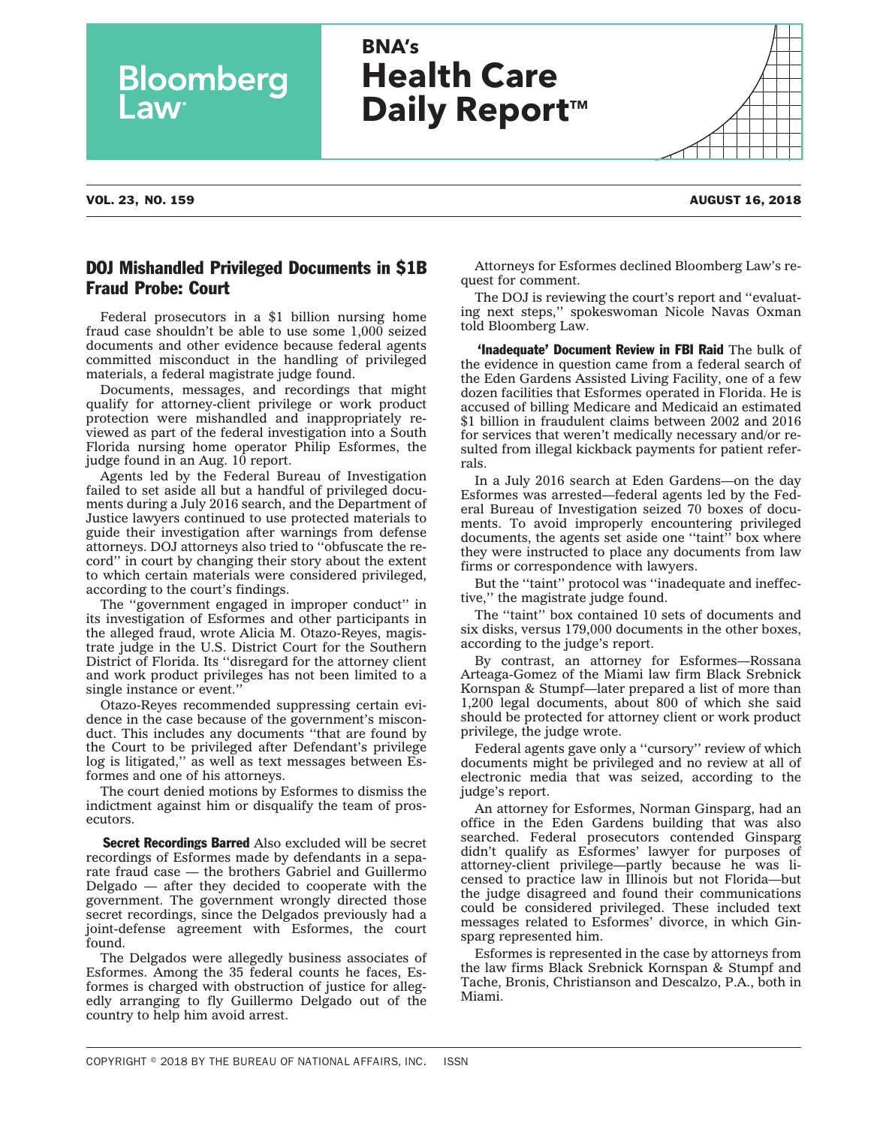| COPYRIGHT $\degree$ 2018 BY THE BUREAU OF NATIONAL AFFAIRS. INC. | <b>ISSN</b> |
|------------------------------------------------------------------|-------------|
|------------------------------------------------------------------|-------------|

## **BNA's Health Care Daily Report™**

**Bloomberg** 

## DOJ Mishandled Privileged Documents in \$1B Fraud Probe: Court

Federal prosecutors in a \$1 billion nursing home fraud case shouldn't be able to use some 1,000 seized documents and other evidence because federal agents committed misconduct in the handling of privileged materials, a federal magistrate judge found.

Documents, messages, and recordings that might qualify for attorney-client privilege or work product protection were mishandled and inappropriately reviewed as part of the federal investigation into a South Florida nursing home operator Philip Esformes, the judge found in an Aug. 10 [report.](http://src.bna.com/A9f)

Agents led by the Federal Bureau of Investigation failed to set aside all but a handful of privileged documents during a July 2016 search, and the Department of Justice lawyers continued to use protected materials to guide their investigation after warnings from defense attorneys. DOJ attorneys also tried to ''obfuscate the record'' in court by changing their story about the extent to which certain materials were considered privileged, according to the court's findings.

The ''government engaged in improper conduct'' in its investigation of Esformes and other participants in the alleged fraud, wrote Alicia M. Otazo-Reyes, magistrate judge in the U.S. District Court for the Southern District of Florida. Its ''disregard for the attorney client and work product privileges has not been limited to a single instance or event.''

Otazo-Reyes recommended suppressing certain evidence in the case because of the government's misconduct. This includes any documents ''that are found by the Court to be privileged after Defendant's privilege log is litigated," as well as text messages between Esformes and one of his attorneys.

The court denied motions by Esformes to dismiss the indictment against him or disqualify the team of prosecutors.

**Secret Recordings Barred** Also excluded will be secret recordings of Esformes made by defendants in a separate fraud case — the brothers Gabriel and Guillermo Delgado — after they decided to cooperate with the government. The government wrongly directed those secret recordings, since the Delgados previously had a joint-defense agreement with Esformes, the court found.

The Delgados were allegedly business associates of Esformes. Among the 35 federal counts he faces, Esformes is charged with obstruction of justice for allegedly arranging to fly Guillermo Delgado out of the country to help him avoid arrest.

Attorneys for Esformes declined Bloomberg Law's request for comment.

The DOJ is reviewing the court's report and ''evaluating next steps,'' spokeswoman Nicole Navas Oxman told Bloomberg Law.

**'Inadequate' Document Review in FBI Raid** The bulk of the evidence in question came from a federal search of the Eden Gardens Assisted Living Facility, one of a few dozen facilities that Esformes operated in Florida. He is accused of billing Medicare and Medicaid an estimated \$1 billion in fraudulent claims between 2002 and 2016 for services that weren't medically necessary and/or resulted from illegal kickback payments for patient referrals.

In a July 2016 search at Eden Gardens—on the day Esformes was arrested—federal agents led by the Federal Bureau of Investigation seized 70 boxes of documents. To avoid improperly encountering privileged documents, the agents set aside one "taint" box where they were instructed to place any documents from law firms or correspondence with lawyers.

But the "taint" protocol was "inadequate and ineffective,'' the magistrate judge found.

The ''taint'' box contained 10 sets of documents and six disks, versus 179,000 documents in the other boxes, according to the judge's report.

By contrast, an attorney for Esformes—Rossana Arteaga-Gomez of the Miami law firm Black Srebnick Kornspan & Stumpf—later prepared a list of more than 1,200 legal documents, about 800 of which she said should be protected for attorney client or work product privilege, the judge wrote.

Federal agents gave only a ''cursory'' review of which documents might be privileged and no review at all of electronic media that was seized, according to the judge's report.

An attorney for Esformes, Norman Ginsparg, had an office in the Eden Gardens building that was also searched. Federal prosecutors contended Ginsparg didn't qualify as Esformes' lawyer for purposes of attorney-client privilege—partly because he was licensed to practice law in Illinois but not Florida—but the judge disagreed and found their communications could be considered privileged. These included text messages related to Esformes' divorce, in which Ginsparg represented him.

Esformes is represented in the case by attorneys from the law firms Black Srebnick Kornspan & Stumpf and Tache, Bronis, Christianson and Descalzo, P.A., both in Miami.

VOL. 23, NO. 159 AUGUST 16, 2018